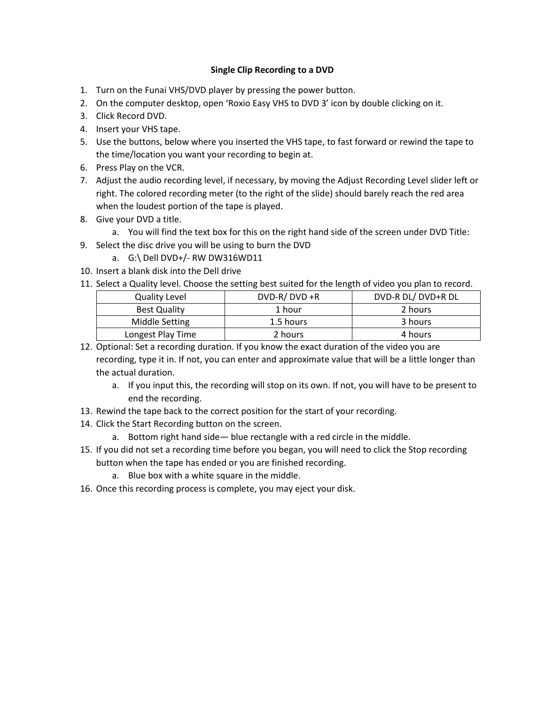#### **Single Clip Recording to a DVD**

- 1. Turn on the Funai VHS/DVD player by pressing the power button.
- 2. On the computer desktop, open 'Roxio Easy VHS to DVD 3' icon by double clicking on it.
- 3. Click Record DVD.
- 4. Insert your VHS tape.
- 5. Use the buttons, below where you inserted the VHS tape, to fast forward or rewind the tape to the time/location you want your recording to begin at.
- 6. Press Play on the VCR.
- 7. Adjust the audio recording level, if necessary, by moving the Adjust Recording Level slider left or right. The colored recording meter (to the right of the slide) should barely reach the red area when the loudest portion of the tape is played.
- 8. Give your DVD a title.
	- a. You will find the text box for this on the right hand side of the screen under DVD Title:
- 9. Select the disc drive you will be using to burn the DVD
	- a. G:\ Dell DVD+/- RW DW316WD11
- 10. Insert a blank disk into the Dell drive
- 11. Select a Quality level. Choose the setting best suited for the length of video you plan to record.

| <b>Quality Level</b> | $DVD-R/DVD + R$ | DVD-R DL/DVD+R DL |
|----------------------|-----------------|-------------------|
| <b>Best Quality</b>  | 1 hour          | 2 hours           |
| Middle Setting       | 1.5 hours       | 3 hours           |
| Longest Play Time    | 2 hours         | 4 hours           |

- 12. Optional: Set a recording duration. If you know the exact duration of the video you are recording, type it in. If not, you can enter and approximate value that will be a little longer than the actual duration.
	- a. If you input this, the recording will stop on its own. If not, you will have to be present to end the recording.
- 13. Rewind the tape back to the correct position for the start of your recording.
- 14. Click the Start Recording button on the screen.
	- a. Bottom right hand side— blue rectangle with a red circle in the middle.
- 15. If you did not set a recording time before you began, you will need to click the Stop recording button when the tape has ended or you are finished recording.
	- a. Blue box with a white square in the middle.
- 16. Once this recording process is complete, you may eject your disk.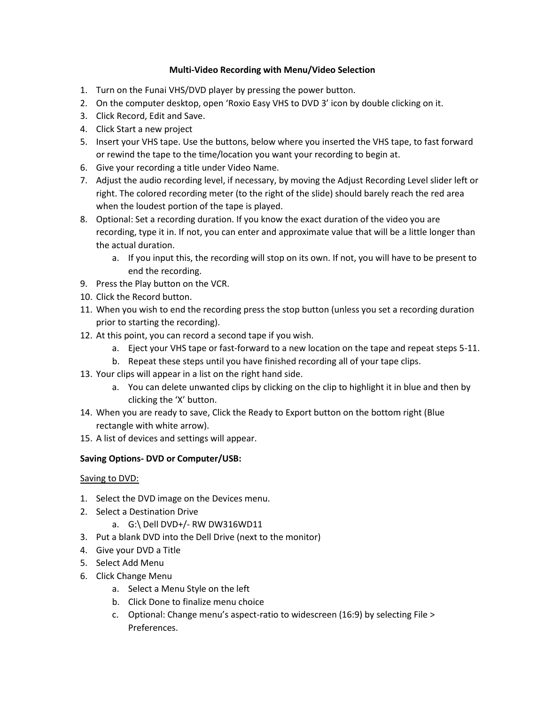### **Multi-Video Recording with Menu/Video Selection**

- 1. Turn on the Funai VHS/DVD player by pressing the power button.
- 2. On the computer desktop, open 'Roxio Easy VHS to DVD 3' icon by double clicking on it.
- 3. Click Record, Edit and Save.
- 4. Click Start a new project
- 5. Insert your VHS tape. Use the buttons, below where you inserted the VHS tape, to fast forward or rewind the tape to the time/location you want your recording to begin at.
- 6. Give your recording a title under Video Name.
- 7. Adjust the audio recording level, if necessary, by moving the Adjust Recording Level slider left or right. The colored recording meter (to the right of the slide) should barely reach the red area when the loudest portion of the tape is played.
- 8. Optional: Set a recording duration. If you know the exact duration of the video you are recording, type it in. If not, you can enter and approximate value that will be a little longer than the actual duration.
	- a. If you input this, the recording will stop on its own. If not, you will have to be present to end the recording.
- 9. Press the Play button on the VCR.
- 10. Click the Record button.
- 11. When you wish to end the recording press the stop button (unless you set a recording duration prior to starting the recording).
- 12. At this point, you can record a second tape if you wish.
	- a. Eject your VHS tape or fast-forward to a new location on the tape and repeat steps 5-11.
	- b. Repeat these steps until you have finished recording all of your tape clips.
- 13. Your clips will appear in a list on the right hand side.
	- a. You can delete unwanted clips by clicking on the clip to highlight it in blue and then by clicking the 'X' button.
- 14. When you are ready to save, Click the Ready to Export button on the bottom right (Blue rectangle with white arrow).
- 15. A list of devices and settings will appear.

# **Saving Options- DVD or Computer/USB:**

# Saving to DVD:

- 1. Select the DVD image on the Devices menu.
- 2. Select a Destination Drive
	- a. G:\ Dell DVD+/- RW DW316WD11
- 3. Put a blank DVD into the Dell Drive (next to the monitor)
- 4. Give your DVD a Title
- 5. Select Add Menu
- 6. Click Change Menu
	- a. Select a Menu Style on the left
	- b. Click Done to finalize menu choice
	- c. Optional: Change menu's aspect-ratio to widescreen (16:9) by selecting File > Preferences.